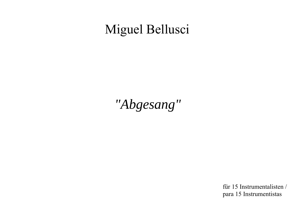# Miguel Bellusci

*"Abgesang"*

## für 15 Instrumentalisten / para 15 Instrumentistas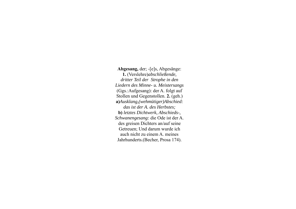**Abgesang,** der; -[e]s, Abgesänge: **1.** (Verslehre)*abschließende, dritter Teil der Strophe in den Liedern des Minne- u. Meistersangs*  (Ggs.:Aufgesang): der A. folgt auf Stollen und Gegenstollen. **2.** (geh.) **a)***Ausklang,(wehmütiger)Abschied: das ist der A. des Herbstes;*  **b)** *letztes Dichtwerk, Abschieds-, Schwanengesang:* die Ode ist der A. des greisen Dichters an/auf seine Getreuen; Und darum wurde ich auch nicht zu einem A. meines Jahrhunderts.(Becher, Prosa 174).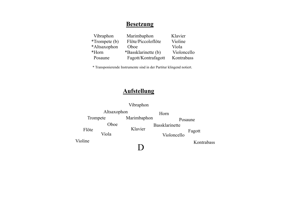### **Aufstellung**



#### **Besetzung**

| Vibraphon     | Marimbaphon         | Klavier     |
|---------------|---------------------|-------------|
| *Trompete (b) | Flöte/Piccoloflöte  | Violine     |
| *Altsaxophon  | Oboe                | Viola       |
| $*$ Horn      | *Bassklarinette (b) | Violoncello |
| Posaune       | Fagott/Kontrafagott | Kontrabass  |

\* Transponierende Instrumente sind in der Partitur klingend notiert.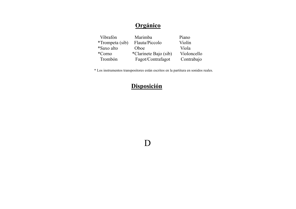# **Orgánico**

| Vibrafón          | <b>Marimba</b>        | Piano       |
|-------------------|-----------------------|-------------|
| *Trompeta (sib)   | Flauta/Piccolo        | Violín      |
| <i>*Saxo alto</i> | Oboe                  | Viola       |
| *Corno            | *Clarinete Bajo (sib) | Violoncello |
| Trombón           | Fagot/Contrafagot     | Contrabajo  |

\* Los instrumentos transpositores están escritos en la partitura en sonidos reales.

### **Disposición**

D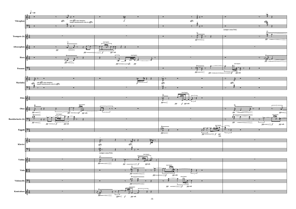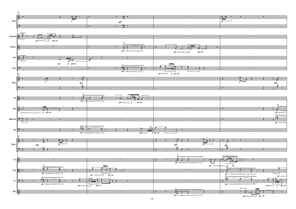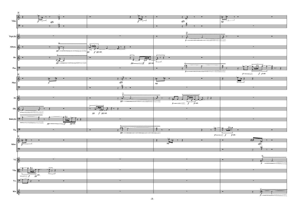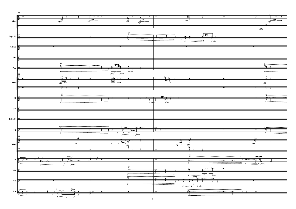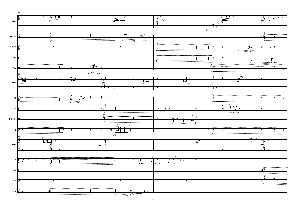

**-5-**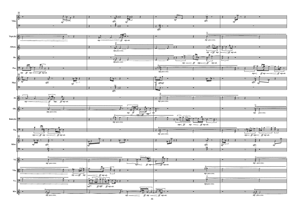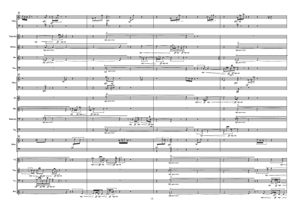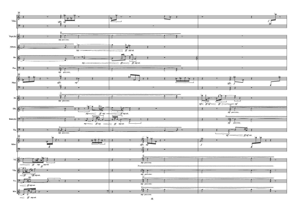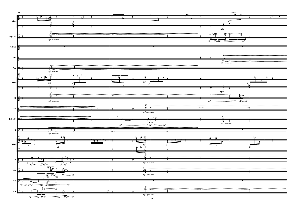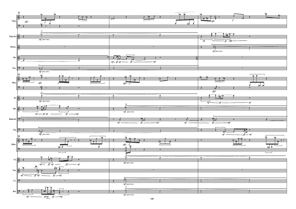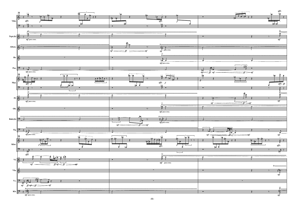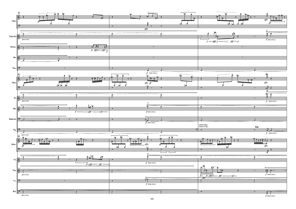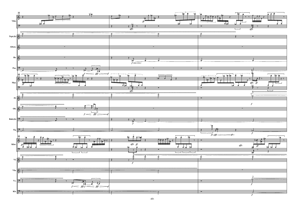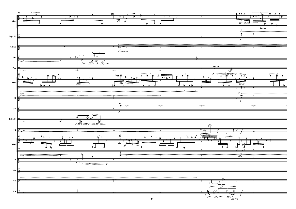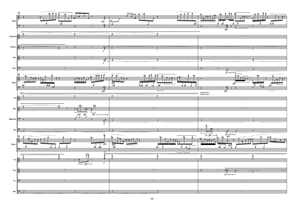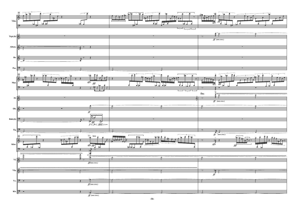![](_page_19_Figure_0.jpeg)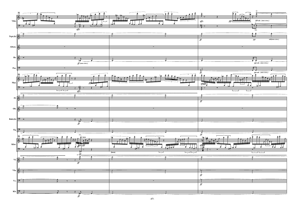![](_page_20_Figure_0.jpeg)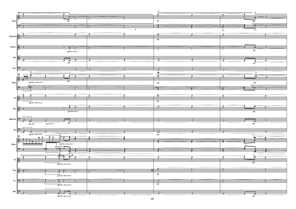![](_page_21_Figure_0.jpeg)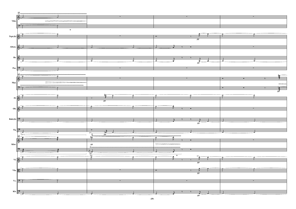![](_page_22_Figure_0.jpeg)

 $-19-$ 

|                                  | $\frac{1}{\sigma}$       |
|----------------------------------|--------------------------|
|                                  |                          |
|                                  |                          |
|                                  |                          |
|                                  |                          |
|                                  |                          |
|                                  |                          |
|                                  |                          |
|                                  | $\cdot$                  |
|                                  |                          |
|                                  |                          |
|                                  |                          |
|                                  |                          |
|                                  | $\overline{\mathcal{A}}$ |
|                                  | $p_i$                    |
|                                  |                          |
|                                  |                          |
|                                  |                          |
|                                  |                          |
|                                  |                          |
|                                  |                          |
|                                  |                          |
|                                  |                          |
|                                  |                          |
|                                  |                          |
|                                  |                          |
|                                  |                          |
|                                  |                          |
|                                  |                          |
|                                  |                          |
|                                  |                          |
|                                  |                          |
|                                  |                          |
|                                  |                          |
|                                  |                          |
| $\frac{1}{\cdot}$                | $\overline{\phantom{a}}$ |
|                                  |                          |
|                                  |                          |
| <u>e de la provincia de la p</u> |                          |
|                                  |                          |
|                                  |                          |
|                                  |                          |
|                                  |                          |
|                                  |                          |
|                                  |                          |
|                                  |                          |
|                                  |                          |
| $\overline{a}$                   |                          |
|                                  |                          |
|                                  |                          |
|                                  |                          |
|                                  |                          |
|                                  |                          |
| $\overline{\phantom{a}}$         |                          |
|                                  |                          |
|                                  |                          |
|                                  |                          |
|                                  |                          |
|                                  |                          |
|                                  |                          |
|                                  |                          |
|                                  |                          |
|                                  | $\overline{\phantom{a}}$ |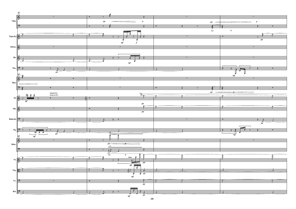![](_page_23_Figure_0.jpeg)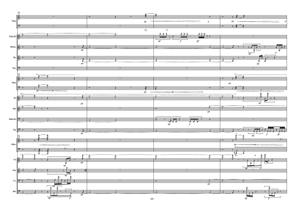![](_page_24_Figure_0.jpeg)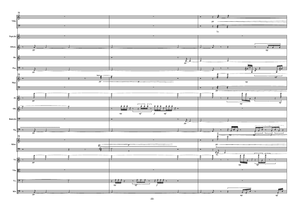![](_page_25_Figure_0.jpeg)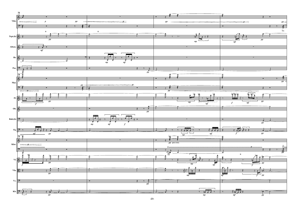![](_page_26_Figure_0.jpeg)

**-23-**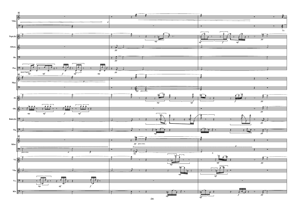![](_page_27_Figure_0.jpeg)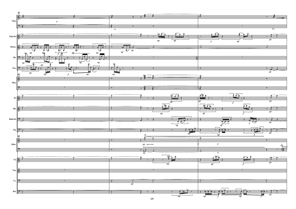![](_page_28_Figure_0.jpeg)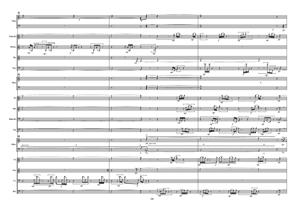![](_page_29_Figure_0.jpeg)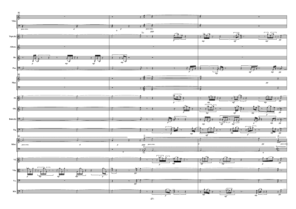![](_page_30_Figure_0.jpeg)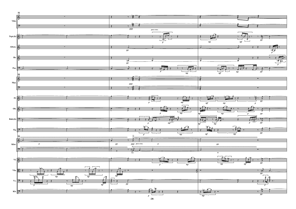![](_page_31_Figure_0.jpeg)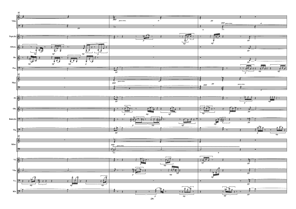![](_page_32_Figure_0.jpeg)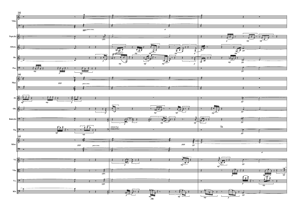![](_page_33_Figure_0.jpeg)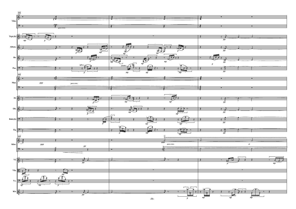![](_page_34_Figure_0.jpeg)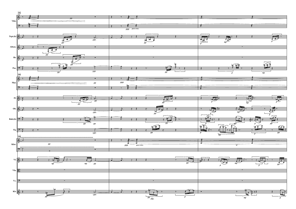![](_page_35_Figure_0.jpeg)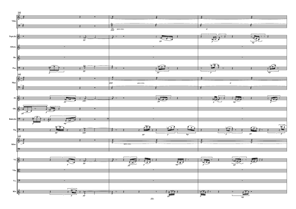![](_page_36_Figure_0.jpeg)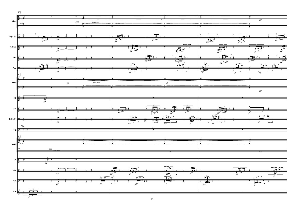![](_page_37_Figure_0.jpeg)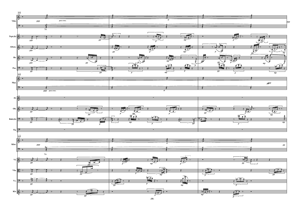![](_page_38_Figure_0.jpeg)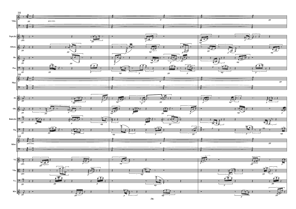![](_page_39_Figure_0.jpeg)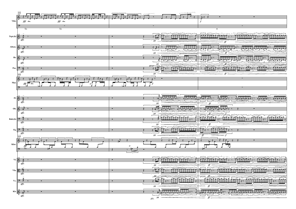![](_page_40_Figure_0.jpeg)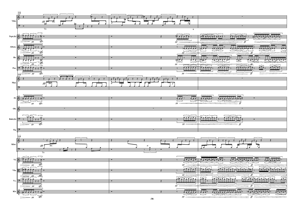![](_page_41_Figure_0.jpeg)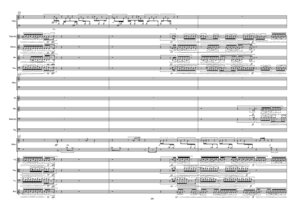![](_page_42_Figure_0.jpeg)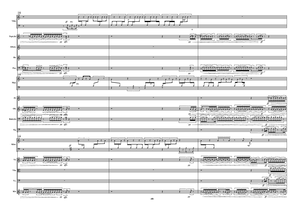![](_page_43_Figure_0.jpeg)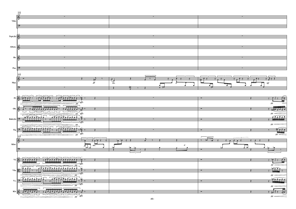![](_page_44_Figure_0.jpeg)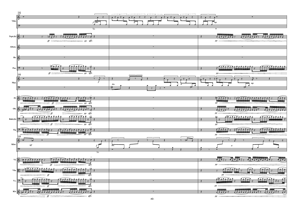![](_page_45_Figure_0.jpeg)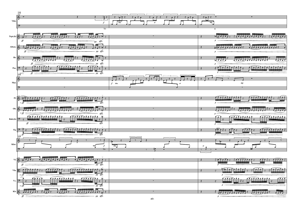![](_page_46_Figure_0.jpeg)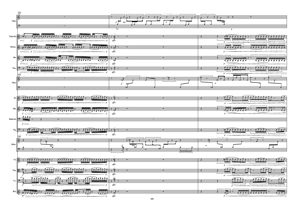![](_page_47_Figure_0.jpeg)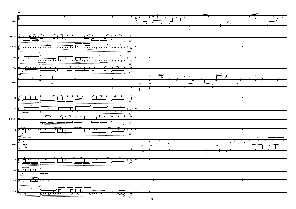![](_page_48_Figure_0.jpeg)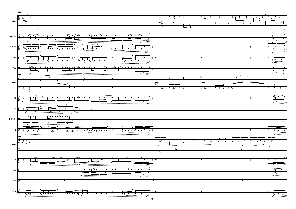![](_page_49_Figure_0.jpeg)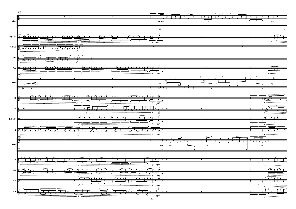![](_page_50_Figure_0.jpeg)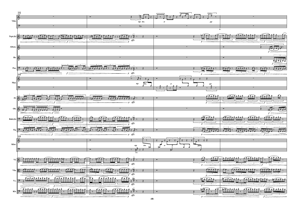![](_page_51_Figure_0.jpeg)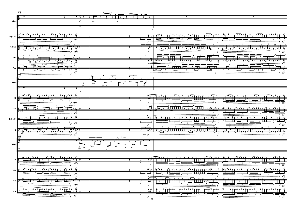![](_page_52_Figure_0.jpeg)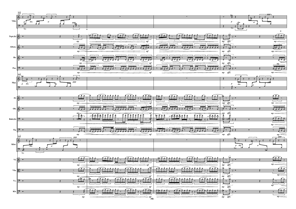![](_page_53_Figure_0.jpeg)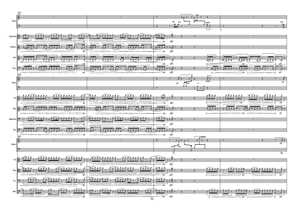![](_page_54_Figure_0.jpeg)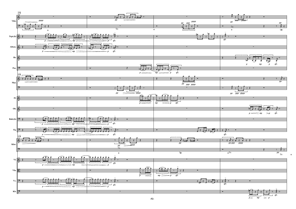![](_page_55_Figure_0.jpeg)

\*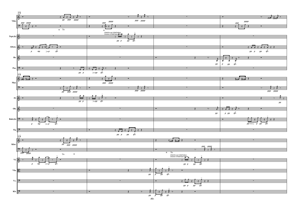![](_page_56_Figure_0.jpeg)